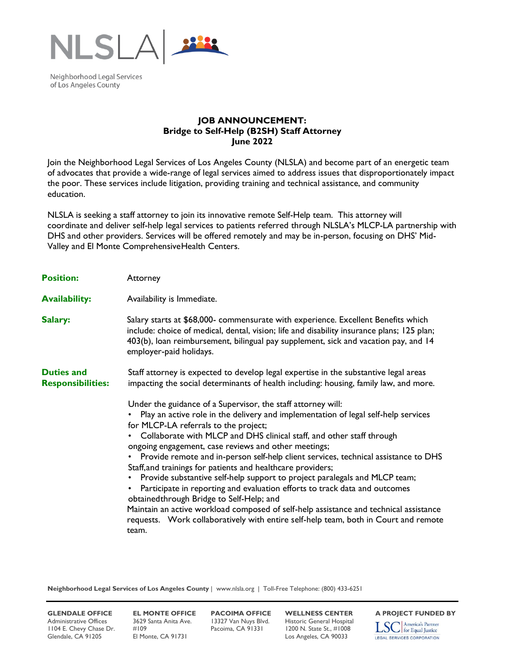

Neighborhood Legal Services of Los Angeles County

## **JOB ANNOUNCEMENT: Bridge to Self-Help (B2SH) Staff Attorney June 2022**

Join the Neighborhood Legal Services of Los Angeles County (NLSLA) and become part of an energetic team of advocates that provide a wide-range of legal services aimed to address issues that disproportionately impact the poor. These services include litigation, providing training and technical assistance, and community education.

NLSLA is seeking a staff attorney to join its innovative remote Self-Help team. This attorney will coordinate and deliver self-help legal services to patients referred through NLSLA's MLCP-LA partnership with DHS and other providers. Services will be offered remotely and may be in-person, focusing on DHS' Mid-Valley and El Monte ComprehensiveHealth Centers.

| <b>Position:</b>                              | Attorney                                                                                                                                                                                                                                                                                                                                                                                                                                                                                                                                                                                                                                                                                                                                                                                                                                                                                                         |
|-----------------------------------------------|------------------------------------------------------------------------------------------------------------------------------------------------------------------------------------------------------------------------------------------------------------------------------------------------------------------------------------------------------------------------------------------------------------------------------------------------------------------------------------------------------------------------------------------------------------------------------------------------------------------------------------------------------------------------------------------------------------------------------------------------------------------------------------------------------------------------------------------------------------------------------------------------------------------|
| <b>Availability:</b>                          | Availability is Immediate.                                                                                                                                                                                                                                                                                                                                                                                                                                                                                                                                                                                                                                                                                                                                                                                                                                                                                       |
| Salary:                                       | Salary starts at \$68,000- commensurate with experience. Excellent Benefits which<br>include: choice of medical, dental, vision; life and disability insurance plans; 125 plan;<br>403(b), loan reimbursement, bilingual pay supplement, sick and vacation pay, and 14<br>employer-paid holidays.                                                                                                                                                                                                                                                                                                                                                                                                                                                                                                                                                                                                                |
| <b>Duties and</b><br><b>Responsibilities:</b> | Staff attorney is expected to develop legal expertise in the substantive legal areas<br>impacting the social determinants of health including: housing, family law, and more.                                                                                                                                                                                                                                                                                                                                                                                                                                                                                                                                                                                                                                                                                                                                    |
|                                               | Under the guidance of a Supervisor, the staff attorney will:<br>Play an active role in the delivery and implementation of legal self-help services<br>for MLCP-LA referrals to the project;<br>• Collaborate with MLCP and DHS clinical staff, and other staff through<br>ongoing engagement, case reviews and other meetings;<br>Provide remote and in-person self-help client services, technical assistance to DHS<br>$\bullet$<br>Staff, and trainings for patients and healthcare providers;<br>Provide substantive self-help support to project paralegals and MLCP team;<br>$\bullet$<br>Participate in reporting and evaluation efforts to track data and outcomes<br>obtained through Bridge to Self-Help; and<br>Maintain an active workload composed of self-help assistance and technical assistance<br>requests. Work collaboratively with entire self-help team, both in Court and remote<br>team. |

**Neighborhood Legal Services of Los Angeles County** | www.nlsla.org | Toll-Free Telephone: (800) 433-6251

Administrative Offices 3629 Santa Anita Ave. 13327 Van Nuys Blvd. Historic General Hospital<br>1104 E. Chevy Chase Dr. #109 Pacoima, CA 91331 1200 N. State St., #1008 1104 E. Chevy Chase Dr. #109 Pacoima, CA 91331 1200 N. State St., #1008 Glendale, CA 91205 El Monte, CA 91731 Los Angeles, CA 90033

**GLENDALE OFFICE EL MONTE OFFICE PACOIMA OFFICE WELLNESS CENTER A PROJECT FUNDED BY**